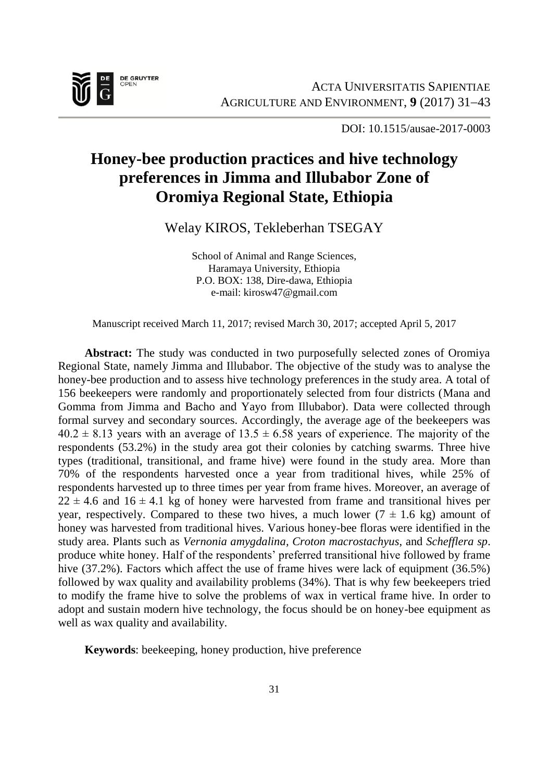

DOI: 10.1515/ausae-2017-0003

# **Honey-bee production practices and hive technology preferences in Jimma and Illubabor Zone of Oromiya Regional State, Ethiopia**

Welay KIROS, Tekleberhan TSEGAY

School of Animal and Range Sciences, Haramaya University, Ethiopia P.O. BOX: 138, Dire-dawa, Ethiopia e-mail: kirosw47@gmail.com

Manuscript received March 11, 2017; revised March 30, 2017; accepted April 5, 2017

**Abstract:** The study was conducted in two purposefully selected zones of Oromiya Regional State, namely Jimma and Illubabor. The objective of the study was to analyse the honey-bee production and to assess hive technology preferences in the study area. A total of 156 beekeepers were randomly and proportionately selected from four districts (Mana and Gomma from Jimma and Bacho and Yayo from Illubabor). Data were collected through formal survey and secondary sources. Accordingly, the average age of the beekeepers was  $40.2 \pm 8.13$  years with an average of  $13.5 \pm 6.58$  years of experience. The majority of the respondents (53.2%) in the study area got their colonies by catching swarms. Three hive types (traditional, transitional, and frame hive) were found in the study area. More than 70% of the respondents harvested once a year from traditional hives, while 25% of respondents harvested up to three times per year from frame hives. Moreover, an average of  $22 \pm 4.6$  and  $16 \pm 4.1$  kg of honey were harvested from frame and transitional hives per year, respectively. Compared to these two hives, a much lower  $(7 \pm 1.6 \text{ kg})$  amount of honey was harvested from traditional hives. Various honey-bee floras were identified in the study area. Plants such as *Vernonia amygdalina, Croton macrostachyus*, and *Schefflera sp*. produce white honey. Half of the respondents' preferred transitional hive followed by frame hive (37.2%). Factors which affect the use of frame hives were lack of equipment (36.5%) followed by wax quality and availability problems (34%). That is why few beekeepers tried to modify the frame hive to solve the problems of wax in vertical frame hive. In order to adopt and sustain modern hive technology, the focus should be on honey-bee equipment as well as wax quality and availability.

**Keywords**: beekeeping, honey production, hive preference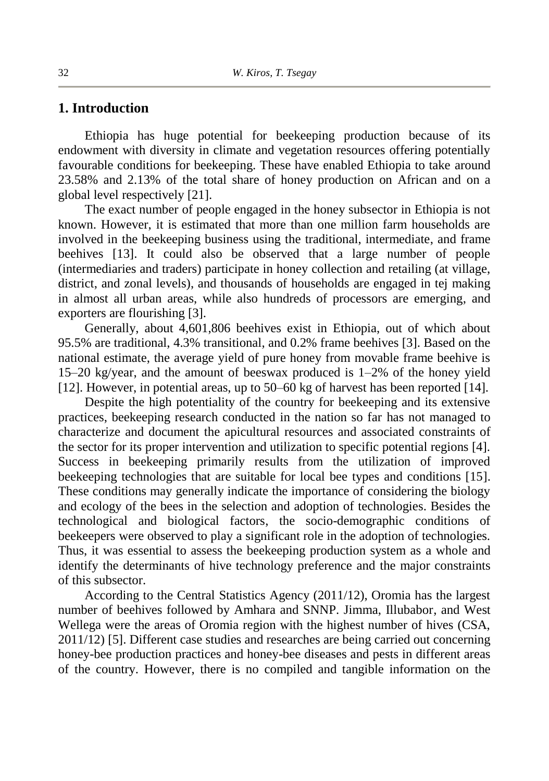## **1. Introduction**

Ethiopia has huge potential for beekeeping production because of its endowment with diversity in climate and vegetation resources offering potentially favourable conditions for beekeeping. These have enabled Ethiopia to take around 23.58% and 2.13% of the total share of honey production on African and on a global level respectively [21].

The exact number of people engaged in the honey subsector in Ethiopia is not known. However, it is estimated that more than one million farm households are involved in the beekeeping business using the traditional, intermediate, and frame beehives [13]. It could also be observed that a large number of people (intermediaries and traders) participate in honey collection and retailing (at village, district, and zonal levels), and thousands of households are engaged in tej making in almost all urban areas, while also hundreds of processors are emerging, and exporters are flourishing [3].

Generally, about 4,601,806 beehives exist in Ethiopia, out of which about 95.5% are traditional, 4.3% transitional, and 0.2% frame beehives [3]. Based on the national estimate, the average yield of pure honey from movable frame beehive is 15–20 kg/year, and the amount of beeswax produced is 1–2% of the honey yield [12]. However, in potential areas, up to 50–60 kg of harvest has been reported [14].

Despite the high potentiality of the country for beekeeping and its extensive practices, beekeeping research conducted in the nation so far has not managed to characterize and document the apicultural resources and associated constraints of the sector for its proper intervention and utilization to specific potential regions [4]. Success in beekeeping primarily results from the utilization of improved beekeeping technologies that are suitable for local bee types and conditions [15]. These conditions may generally indicate the importance of considering the biology and ecology of the bees in the selection and adoption of technologies. Besides the technological and biological factors, the socio-demographic conditions of beekeepers were observed to play a significant role in the adoption of technologies. Thus, it was essential to assess the beekeeping production system as a whole and identify the determinants of hive technology preference and the major constraints of this subsector.

According to the Central Statistics Agency (2011/12), Oromia has the largest number of beehives followed by Amhara and SNNP. Jimma, Illubabor, and West Wellega were the areas of Oromia region with the highest number of hives (CSA, 2011/12) [5]. Different case studies and researches are being carried out concerning honey-bee production practices and honey-bee diseases and pests in different areas of the country. However, there is no compiled and tangible information on the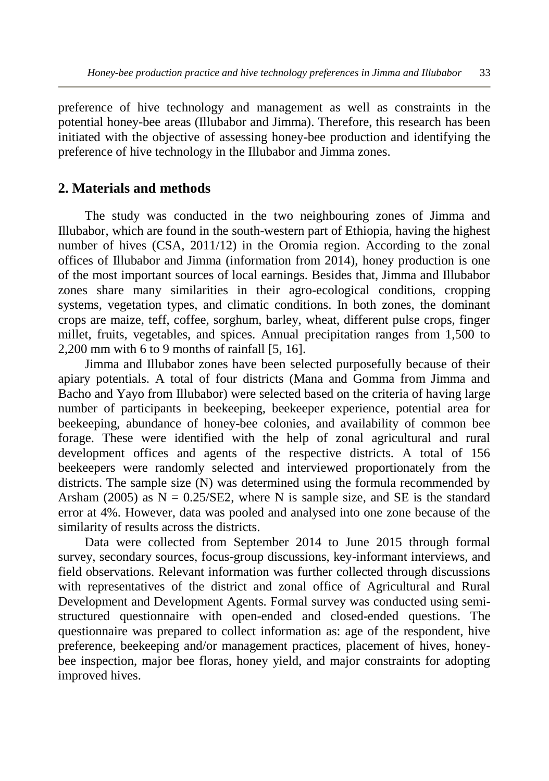preference of hive technology and management as well as constraints in the potential honey-bee areas (Illubabor and Jimma). Therefore, this research has been initiated with the objective of assessing honey-bee production and identifying the preference of hive technology in the Illubabor and Jimma zones.

# **2. Materials and methods**

The study was conducted in the two neighbouring zones of Jimma and Illubabor, which are found in the south-western part of Ethiopia, having the highest number of hives (CSA, 2011/12) in the Oromia region. According to the zonal offices of Illubabor and Jimma (information from 2014), honey production is one of the most important sources of local earnings. Besides that, Jimma and Illubabor zones share many similarities in their agro-ecological conditions, cropping systems, vegetation types, and climatic conditions. In both zones, the dominant crops are maize, teff, coffee, sorghum, barley, wheat, different pulse crops, finger millet, fruits, vegetables, and spices. Annual precipitation ranges from 1,500 to 2,200 mm with 6 to 9 months of rainfall [5, 16].

Jimma and Illubabor zones have been selected purposefully because of their apiary potentials. A total of four districts (Mana and Gomma from Jimma and Bacho and Yayo from Illubabor) were selected based on the criteria of having large number of participants in beekeeping, beekeeper experience, potential area for beekeeping, abundance of honey-bee colonies, and availability of common bee forage. These were identified with the help of zonal agricultural and rural development offices and agents of the respective districts. A total of 156 beekeepers were randomly selected and interviewed proportionately from the districts. The sample size (N) was determined using the formula recommended by Arsham (2005) as  $N = 0.25$ /SE2, where N is sample size, and SE is the standard error at 4%. However, data was pooled and analysed into one zone because of the similarity of results across the districts.

Data were collected from September 2014 to June 2015 through formal survey, secondary sources, focus-group discussions, key-informant interviews, and field observations. Relevant information was further collected through discussions with representatives of the district and zonal office of Agricultural and Rural Development and Development Agents. Formal survey was conducted using semistructured questionnaire with open-ended and closed-ended questions. The questionnaire was prepared to collect information as: age of the respondent, hive preference, beekeeping and/or management practices, placement of hives, honeybee inspection, major bee floras, honey yield, and major constraints for adopting improved hives.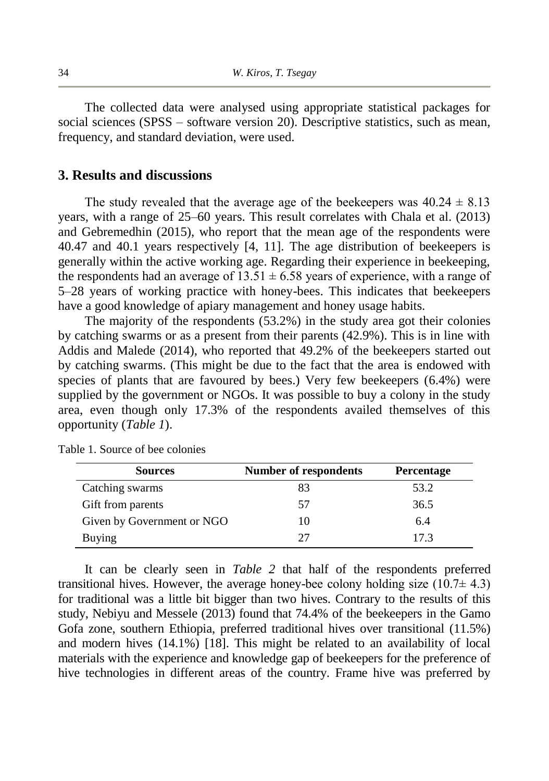The collected data were analysed using appropriate statistical packages for social sciences (SPSS – software version 20). Descriptive statistics, such as mean, frequency, and standard deviation, were used.

#### **3. Results and discussions**

The study revealed that the average age of the beekeepers was  $40.24 \pm 8.13$ years, with a range of 25–60 years. This result correlates with Chala et al. (2013) and Gebremedhin (2015), who report that the mean age of the respondents were 40.47 and 40.1 years respectively [4, 11]. The age distribution of beekeepers is generally within the active working age. Regarding their experience in beekeeping, the respondents had an average of  $13.51 \pm 6.58$  years of experience, with a range of 5–28 years of working practice with honey-bees. This indicates that beekeepers have a good knowledge of apiary management and honey usage habits.

The majority of the respondents (53.2%) in the study area got their colonies by catching swarms or as a present from their parents (42.9%). This is in line with Addis and Malede (2014), who reported that 49.2% of the beekeepers started out by catching swarms. (This might be due to the fact that the area is endowed with species of plants that are favoured by bees.) Very few beekeepers (6.4%) were supplied by the government or NGOs. It was possible to buy a colony in the study area, even though only 17.3% of the respondents availed themselves of this opportunity (*Table 1*).

| <b>Sources</b>             | <b>Number of respondents</b> | <b>Percentage</b> |
|----------------------------|------------------------------|-------------------|
| Catching swarms            | 83                           | 53.2              |
| Gift from parents          | 57                           | 36.5              |
| Given by Government or NGO | 10                           | 6.4               |
| Buying                     | 27                           | 17.3              |

Table 1. Source of bee colonies

It can be clearly seen in *Table 2* that half of the respondents preferred transitional hives. However, the average honey-bee colony holding size  $(10.7\pm 4.3)$ for traditional was a little bit bigger than two hives. Contrary to the results of this study, Nebiyu and Messele (2013) found that 74.4% of the beekeepers in the Gamo Gofa zone, southern Ethiopia, preferred traditional hives over transitional (11.5%) and modern hives (14.1%) [18]. This might be related to an availability of local materials with the experience and knowledge gap of beekeepers for the preference of hive technologies in different areas of the country. Frame hive was preferred by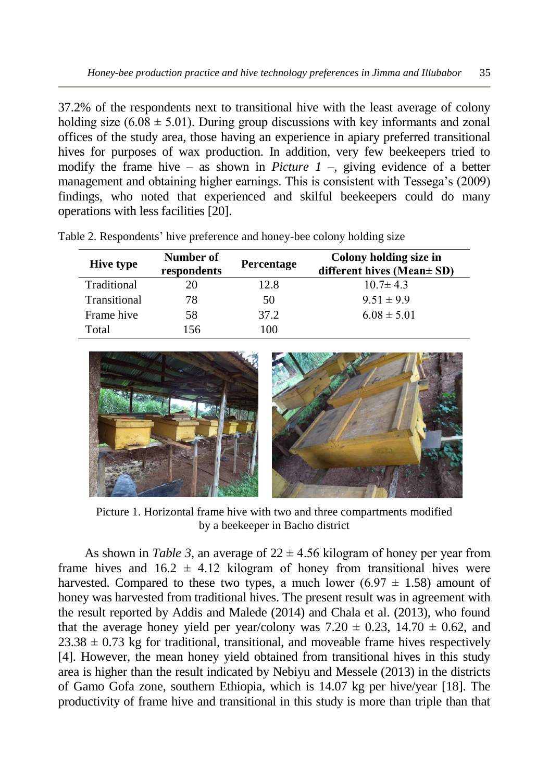37.2% of the respondents next to transitional hive with the least average of colony holding size (6.08  $\pm$  5.01). During group discussions with key informants and zonal offices of the study area, those having an experience in apiary preferred transitional hives for purposes of wax production. In addition, very few beekeepers tried to modify the frame hive – as shown in *Picture 1* –, giving evidence of a better management and obtaining higher earnings. This is consistent with Tessega's (2009) findings, who noted that experienced and skilful beekeepers could do many operations with less facilities [20].

| <b>Hive type</b> | Number of<br>respondents | Percentage | Colony holding size in<br>different hives (Mean $\pm$ SD) |
|------------------|--------------------------|------------|-----------------------------------------------------------|
| Traditional      | 20                       | 12.8       | $10.7 \pm 4.3$                                            |
| Transitional     | 78                       | 50         | $9.51 \pm 9.9$                                            |
| Frame hive       | 58                       | 37.2       | $6.08 \pm 5.01$                                           |
| Total            | 156                      | 100        |                                                           |

Table 2. Respondents' hive preference and honey-bee colony holding size



Picture 1. Horizontal frame hive with two and three compartments modified by a beekeeper in Bacho district

As shown in *Table* 3, an average of  $22 \pm 4.56$  kilogram of honey per year from frame hives and  $16.2 \pm 4.12$  kilogram of honey from transitional hives were harvested. Compared to these two types, a much lower (6.97  $\pm$  1.58) amount of honey was harvested from traditional hives. The present result was in agreement with the result reported by Addis and Malede (2014) and Chala et al. (2013), who found that the average honey yield per year/colony was  $7.20 \pm 0.23$ ,  $14.70 \pm 0.62$ , and  $23.38 \pm 0.73$  kg for traditional, transitional, and moveable frame hives respectively [4]. However, the mean honey yield obtained from transitional hives in this study area is higher than the result indicated by Nebiyu and Messele (2013) in the districts of Gamo Gofa zone, southern Ethiopia, which is 14.07 kg per hive/year [18]. The productivity of frame hive and transitional in this study is more than triple than that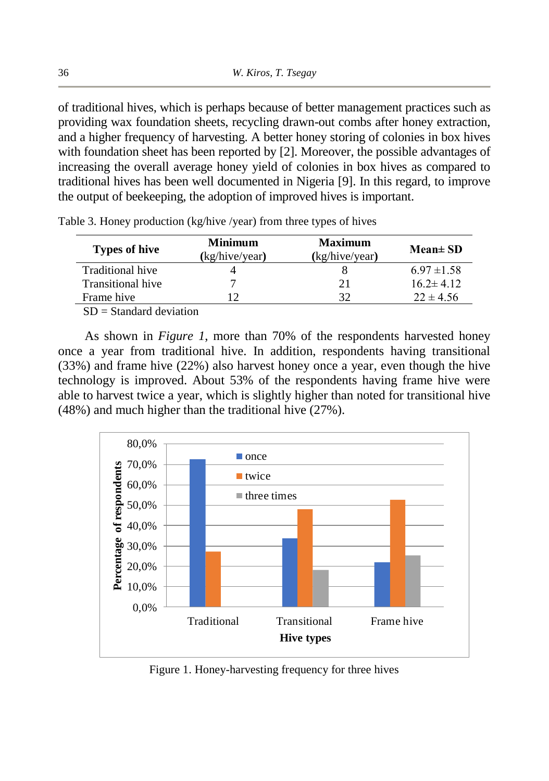of traditional hives, which is perhaps because of better management practices such as providing wax foundation sheets, recycling drawn-out combs after honey extraction, and a higher frequency of harvesting. A better honey storing of colonies in box hives with foundation sheet has been reported by [2]. Moreover, the possible advantages of increasing the overall average honey yield of colonies in box hives as compared to traditional hives has been well documented in Nigeria [9]. In this regard, to improve the output of beekeeping, the adoption of improved hives is important.

| <b>Types of hive</b> | <b>Minimum</b><br>(kg/hive/year) | <b>Maximum</b><br>(kg/hive/year) | $Mean \pm SD$   |
|----------------------|----------------------------------|----------------------------------|-----------------|
| Traditional hive     |                                  |                                  | $6.97 \pm 1.58$ |
| Transitional hive    |                                  | 21                               | $16.2 \pm 4.12$ |
| Frame hive           |                                  | 32                               | $22 \pm 4.56$   |

Table 3. Honey production (kg/hive /year) from three types of hives

 $SD = Standard deviation$ 

As shown in *Figure 1*, more than 70% of the respondents harvested honey once a year from traditional hive. In addition, respondents having transitional (33%) and frame hive (22%) also harvest honey once a year, even though the hive technology is improved. About 53% of the respondents having frame hive were able to harvest twice a year, which is slightly higher than noted for transitional hive (48%) and much higher than the traditional hive (27%).



Figure 1. Honey-harvesting frequency for three hives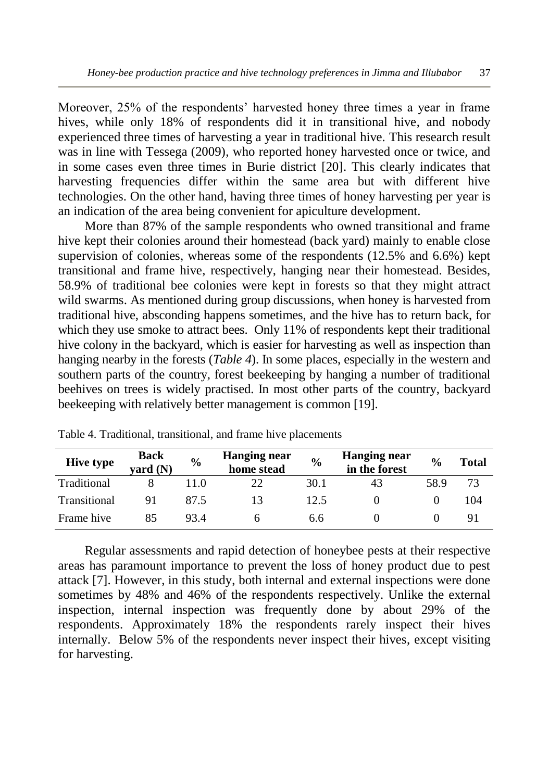Moreover, 25% of the respondents' harvested honey three times a year in frame hives, while only 18% of respondents did it in transitional hive, and nobody experienced three times of harvesting a year in traditional hive. This research result was in line with Tessega (2009), who reported honey harvested once or twice, and in some cases even three times in Burie district [20]. This clearly indicates that harvesting frequencies differ within the same area but with different hive technologies. On the other hand, having three times of honey harvesting per year is an indication of the area being convenient for apiculture development.

More than 87% of the sample respondents who owned transitional and frame hive kept their colonies around their homestead (back yard) mainly to enable close supervision of colonies, whereas some of the respondents (12.5% and 6.6%) kept transitional and frame hive, respectively, hanging near their homestead. Besides, 58.9% of traditional bee colonies were kept in forests so that they might attract wild swarms. As mentioned during group discussions, when honey is harvested from traditional hive, absconding happens sometimes, and the hive has to return back, for which they use smoke to attract bees. Only 11% of respondents kept their traditional hive colony in the backyard, which is easier for harvesting as well as inspection than hanging nearby in the forests (*Table 4*). In some places, especially in the western and southern parts of the country, forest beekeeping by hanging a number of traditional beehives on trees is widely practised. In most other parts of the country, backyard beekeeping with relatively better management is common [19].

| <b>Hive type</b> | <b>Back</b><br>vard (N) | $\frac{0}{0}$ | <b>Hanging near</b><br>home stead | $\frac{0}{0}$ | Hanging near<br>in the forest | $\frac{0}{0}$ | Total |
|------------------|-------------------------|---------------|-----------------------------------|---------------|-------------------------------|---------------|-------|
| Traditional      |                         | 1.0           | 22                                | 30.1          | 43                            | 58.9          | 73    |
| Transitional     | 91                      | 87 5          | 13                                | 12.5          |                               |               | 104   |
| Frame hive       | 85                      | 93.4          |                                   | 6.6           |                               |               |       |

Table 4. Traditional, transitional, and frame hive placements

Regular assessments and rapid detection of honeybee pests at their respective areas has paramount importance to prevent the loss of honey product due to pest attack [7]. However, in this study, both internal and external inspections were done sometimes by 48% and 46% of the respondents respectively. Unlike the external inspection, internal inspection was frequently done by about 29% of the respondents. Approximately 18% the respondents rarely inspect their hives internally. Below 5% of the respondents never inspect their hives, except visiting for harvesting.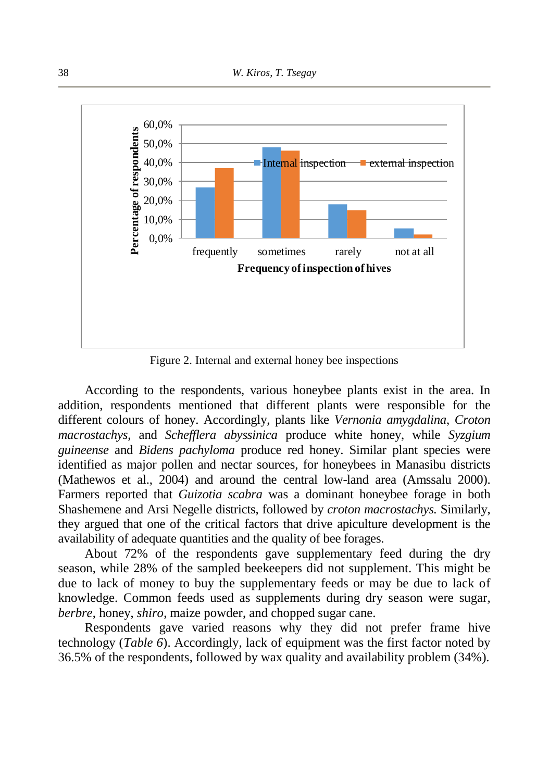

Figure 2. Internal and external honey bee inspections

According to the respondents, various honeybee plants exist in the area. In addition, respondents mentioned that different plants were responsible for the different colours of honey. Accordingly, plants like *Vernonia amygdalina*, *Croton macrostachys*, and *Schefflera abyssinica* produce white honey, while *Syzgium guineense* and *Bidens pachyloma* produce red honey. Similar plant species were identified as major pollen and nectar sources, for honeybees in Manasibu districts (Mathewos et al., 2004) and around the central low-land area (Amssalu 2000). Farmers reported that *Guizotia scabra* was a dominant honeybee forage in both Shashemene and Arsi Negelle districts, followed by *croton macrostachys.* Similarly, they argued that one of the critical factors that drive apiculture development is the availability of adequate quantities and the quality of bee forages.

About 72% of the respondents gave supplementary feed during the dry season, while 28% of the sampled beekeepers did not supplement. This might be due to lack of money to buy the supplementary feeds or may be due to lack of knowledge. Common feeds used as supplements during dry season were sugar*, berbre*, honey, *shiro*, maize powder, and chopped sugar cane.

Respondents gave varied reasons why they did not prefer frame hive technology (*Table 6*). Accordingly, lack of equipment was the first factor noted by 36.5% of the respondents, followed by wax quality and availability problem (34%).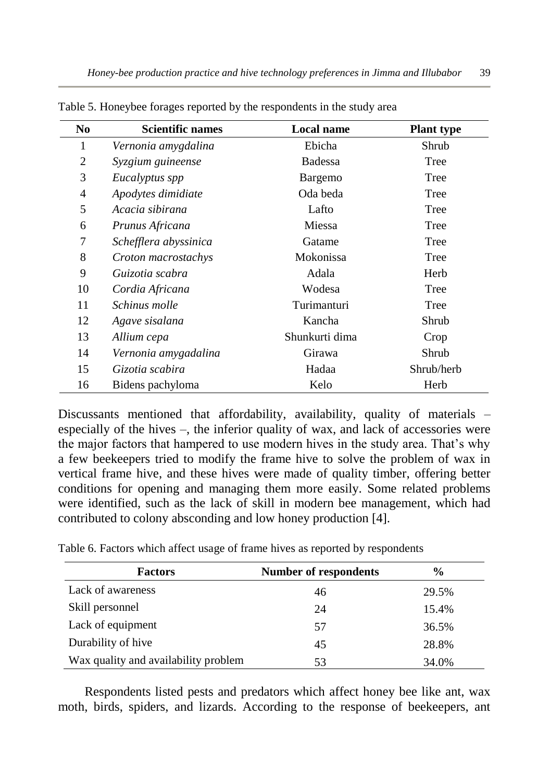| No. | <b>Scientific names</b> | Local name     | <b>Plant type</b> |
|-----|-------------------------|----------------|-------------------|
| 1   | Vernonia amygdalina     | Ebicha         | Shrub             |
| 2   | Syzgium guineense       | Badessa        | Tree              |
| 3   | Eucalyptus spp          | Bargemo        | Tree              |
| 4   | Apodytes dimidiate      | Oda beda       | Tree              |
| 5   | Acacia sibirana         | Lafto          | Tree              |
| 6   | Prunus Africana         | Miessa         | Tree              |
| 7   | Schefflera abyssinica   | Gatame         | Tree              |
| 8   | Croton macrostachys     | Mokonissa      | Tree              |
| 9   | Guizotia scabra         | Adala          | Herb              |
| 10  | Cordia Africana         | Wodesa         | Tree              |
| 11  | Schinus molle           | Turimanturi    | Tree              |
| 12  | Agave sisalana          | Kancha         | Shrub             |
| 13  | Allium cepa             | Shunkurti dima | Crop              |
| 14  | Vernonia amygadalina    | Girawa         | Shrub             |
| 15  | Gizotia scabira         | Hadaa          | Shrub/herb        |
| 16  | Bidens pachyloma        | Kelo           | Herb              |

Table 5. Honeybee forages reported by the respondents in the study area

Discussants mentioned that affordability, availability, quality of materials – especially of the hives –, the inferior quality of wax, and lack of accessories were the major factors that hampered to use modern hives in the study area. That's why a few beekeepers tried to modify the frame hive to solve the problem of wax in vertical frame hive, and these hives were made of quality timber, offering better conditions for opening and managing them more easily. Some related problems were identified, such as the lack of skill in modern bee management, which had contributed to colony absconding and low honey production [4].

| <b>Factors</b>                       | Number of respondents | $\frac{0}{0}$ |
|--------------------------------------|-----------------------|---------------|
| Lack of awareness                    | 46                    | 29.5%         |
| Skill personnel                      | 24                    | 15.4%         |
| Lack of equipment                    | 57                    | 36.5%         |
| Durability of hive                   | 45                    | 28.8%         |
| Wax quality and availability problem | 53                    | 34.0%         |

Table 6. Factors which affect usage of frame hives as reported by respondents

Respondents listed pests and predators which affect honey bee like ant, wax moth, birds, spiders, and lizards. According to the response of beekeepers, ant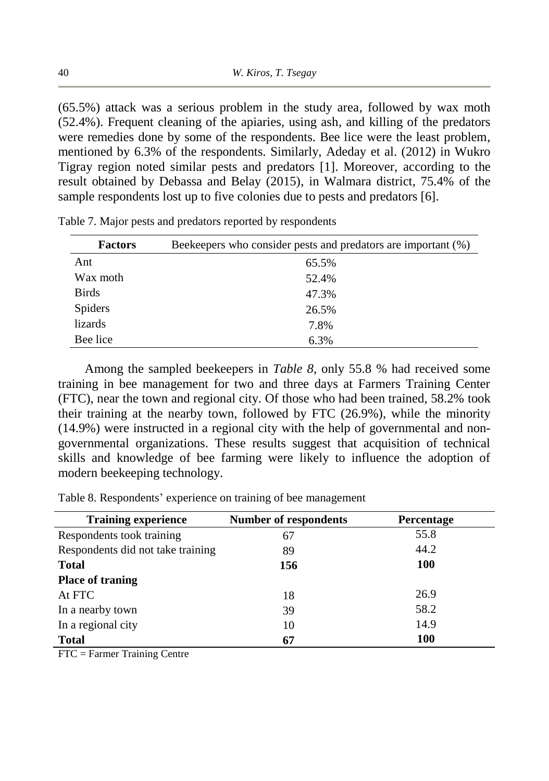(65.5%) attack was a serious problem in the study area, followed by wax moth (52.4%). Frequent cleaning of the apiaries, using ash, and killing of the predators were remedies done by some of the respondents. Bee lice were the least problem, mentioned by 6.3% of the respondents. Similarly, Adeday et al. (2012) in Wukro Tigray region noted similar pests and predators [1]. Moreover, according to the result obtained by Debassa and Belay (2015), in Walmara district, 75.4% of the sample respondents lost up to five colonies due to pests and predators [6].

| <b>Factors</b> | Beekeepers who consider pests and predators are important (%) |
|----------------|---------------------------------------------------------------|
| Ant            | 65.5%                                                         |
| Wax moth       | 52.4%                                                         |
| <b>Birds</b>   | 47.3%                                                         |
| <b>Spiders</b> | 26.5%                                                         |
| lizards        | 7.8%                                                          |
| Bee lice       | 6.3%                                                          |

Table 7. Major pests and predators reported by respondents

Among the sampled beekeepers in *Table 8*, only 55.8 % had received some training in bee management for two and three days at Farmers Training Center (FTC), near the town and regional city. Of those who had been trained, 58.2% took their training at the nearby town, followed by FTC (26.9%), while the minority (14.9%) were instructed in a regional city with the help of governmental and nongovernmental organizations. These results suggest that acquisition of technical skills and knowledge of bee farming were likely to influence the adoption of modern beekeeping technology.

Table 8. Respondents' experience on training of bee management

| <b>Training experience</b>        | Number of respondents | <b>Percentage</b> |
|-----------------------------------|-----------------------|-------------------|
| Respondents took training         | 67                    | 55.8              |
| Respondents did not take training | 89                    | 44.2              |
| <b>Total</b>                      | 156                   | <b>100</b>        |
| <b>Place of traning</b>           |                       |                   |
| At FTC                            | 18                    | 26.9              |
| In a nearby town                  | 39                    | 58.2              |
| In a regional city                | 10                    | 14.9              |
| <b>Total</b>                      | 67                    | 100               |

FTC = Farmer Training Centre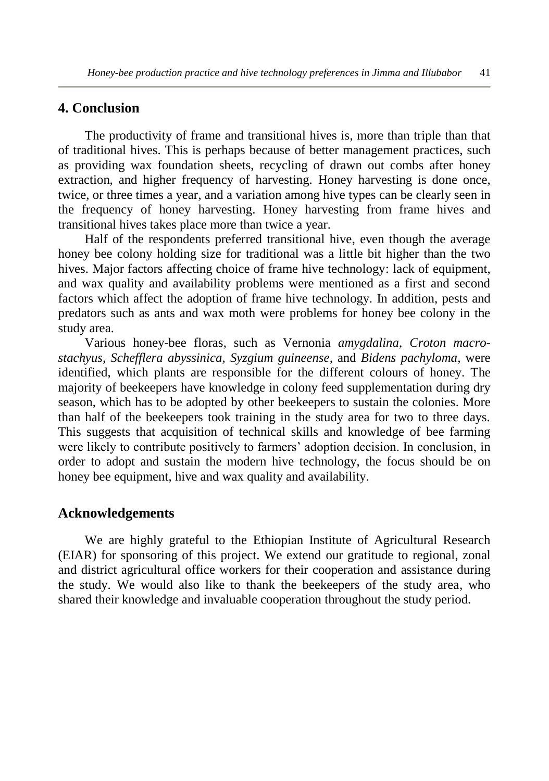### **4. Conclusion**

The productivity of frame and transitional hives is, more than triple than that of traditional hives. This is perhaps because of better management practices, such as providing wax foundation sheets, recycling of drawn out combs after honey extraction, and higher frequency of harvesting. Honey harvesting is done once, twice, or three times a year, and a variation among hive types can be clearly seen in the frequency of honey harvesting. Honey harvesting from frame hives and transitional hives takes place more than twice a year.

Half of the respondents preferred transitional hive, even though the average honey bee colony holding size for traditional was a little bit higher than the two hives. Major factors affecting choice of frame hive technology: lack of equipment, and wax quality and availability problems were mentioned as a first and second factors which affect the adoption of frame hive technology. In addition, pests and predators such as ants and wax moth were problems for honey bee colony in the study area.

Various honey-bee floras, such as Vernonia *amygdalina*, *Croton macrostachyus, Schefflera abyssinica, Syzgium guineense,* and *Bidens pachyloma,* were identified, which plants are responsible for the different colours of honey. The majority of beekeepers have knowledge in colony feed supplementation during dry season, which has to be adopted by other beekeepers to sustain the colonies. More than half of the beekeepers took training in the study area for two to three days. This suggests that acquisition of technical skills and knowledge of bee farming were likely to contribute positively to farmers' adoption decision. In conclusion, in order to adopt and sustain the modern hive technology, the focus should be on honey bee equipment, hive and wax quality and availability.

#### **Acknowledgements**

We are highly grateful to the Ethiopian Institute of Agricultural Research (EIAR) for sponsoring of this project. We extend our gratitude to regional, zonal and district agricultural office workers for their cooperation and assistance during the study. We would also like to thank the beekeepers of the study area, who shared their knowledge and invaluable cooperation throughout the study period.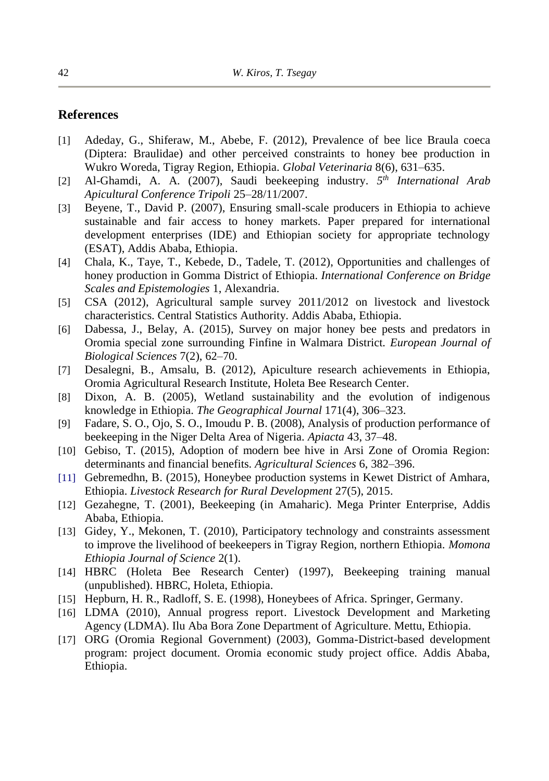#### **References**

- [1] Adeday, G., Shiferaw, M., Abebe, F. (2012), Prevalence of bee lice Braula coeca (Diptera: Braulidae) and other perceived constraints to honey bee production in Wukro Woreda, Tigray Region, Ethiopia. *Global Veterinaria* 8(6), 631–635.
- [2] Al-Ghamdi, A. A. (2007), Saudi beekeeping industry. *5 th International Arab Apicultural Conference Tripoli* 25–28/11/2007.
- [3] Beyene, T., David P. (2007), Ensuring small-scale producers in Ethiopia to achieve sustainable and fair access to honey markets. Paper prepared for international development enterprises (IDE) and Ethiopian society for appropriate technology (ESAT), Addis Ababa, Ethiopia.
- [4] Chala, K., Taye, T., Kebede, D., Tadele, T. (2012), Opportunities and challenges of honey production in Gomma District of Ethiopia. *International Conference on Bridge Scales and Epistemologies* 1, Alexandria.
- [5] CSA (2012), Agricultural sample survey 2011/2012 on livestock and livestock characteristics. Central Statistics Authority. Addis Ababa, Ethiopia.
- [6] Dabessa, J., Belay, A. (2015), Survey on major honey bee pests and predators in Oromia special zone surrounding Finfine in Walmara District. *European Journal of Biological Sciences* 7(2), 62–70.
- [7] Desalegni, B., Amsalu, B. (2012), Apiculture research achievements in Ethiopia, Oromia Agricultural Research Institute, Holeta Bee Research Center.
- [8] Dixon, A. B. (2005), Wetland sustainability and the evolution of indigenous knowledge in Ethiopia. *The Geographical Journal* 171(4), 306–323.
- [9] Fadare, S. O., Ojo, S. O., Imoudu P. B. (2008), Analysis of production performance of beekeeping in the Niger Delta Area of Nigeria. *Apiacta* 43, 37–48.
- [10] Gebiso, T. (2015), Adoption of modern bee hive in Arsi Zone of Oromia Region: determinants and financial benefits. *Agricultural Sciences* 6, 382–396.
- [11] Gebremedhn, B. (2015), Honeybee production systems in Kewet District of Amhara, Ethiopia. *Livestock Research for Rural Development* 27(5), 2015.
- [12] Gezahegne, T. (2001), Beekeeping (in Amaharic). Mega Printer Enterprise, Addis Ababa, Ethiopia.
- [13] Gidey, Y., Mekonen, T. (2010), Participatory technology and constraints assessment to improve the livelihood of beekeepers in Tigray Region, northern Ethiopia. *Momona Ethiopia Journal of Science* 2(1).
- [14] HBRC (Holeta Bee Research Center) (1997), Beekeeping training manual (unpublished). HBRC, Holeta, Ethiopia.
- [15] Hepburn, H. R., Radloff, S. E. (1998), Honeybees of Africa. Springer, Germany.
- [16] LDMA (2010), Annual progress report. Livestock Development and Marketing Agency (LDMA). Ilu Aba Bora Zone Department of Agriculture. Mettu, Ethiopia.
- [17] ORG (Oromia Regional Government) (2003), Gomma-District-based development program: project document. Oromia economic study project office. Addis Ababa, Ethiopia.